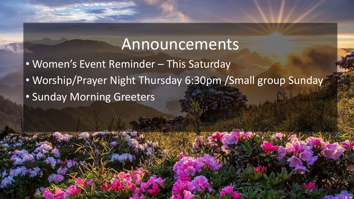## Announcements

- Women's Event Reminder This Saturday
- Worship/Prayer Night Thursday 6:30pm /Small group Sunday
- Sunday Morning Greeters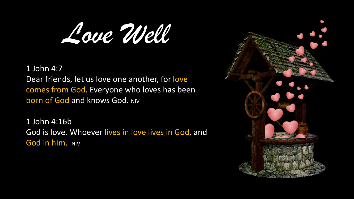# *Love Well*

1 John 4:7 Dear friends, let us love one another, for love comes from God. Everyone who loves has been **born of God and knows God. NIV** 

1 John 4:16b God is love. Whoever lives in love lives in God, and God in him. NIV

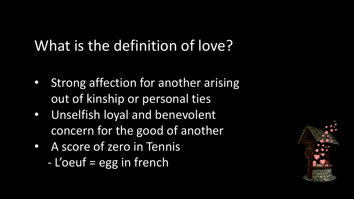# What is the definition of love?

- Strong affection for another arising out of kinship or personal ties
- Unselfish loyal and benevolent concern for the good of another
- A score of zero in Tennis - L'oeuf = egg in french

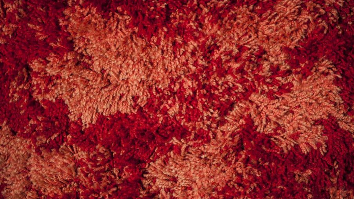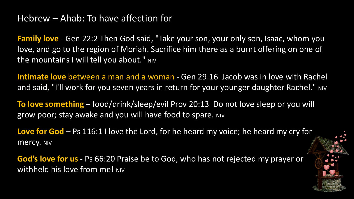#### Hebrew – Ahab: To have affection for

**Family love** - Gen 22:2 Then God said, "Take your son, your only son, Isaac, whom you love, and go to the region of Moriah. Sacrifice him there as a burnt offering on one of the mountains I will tell you about." NIV

**Intimate love** between a man and a woman - Gen 29:16 Jacob was in love with Rachel and said, "I'll work for you seven years in return for your younger daughter Rachel." NIV

**To love something** – food/drink/sleep/evil Prov 20:13 Do not love sleep or you will grow poor; stay awake and you will have food to spare. NIV

**Love for God** – Ps 116:1 I love the Lord, for he heard my voice; he heard my cry for mercy. NIV

**God's love for us** - Ps 66:20 Praise be to God, who has not rejected my prayer or Withheld his love from me! NIV

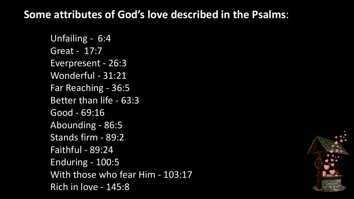#### **Some attributes of God's love described in the Psalms**:

Unfailing - 6:4 Great - 17:7 Everpresent - 26:3 Wonderful - 31:21 Far Reaching - 36:5 Better than life - 63:3 Good - 69:16 Abounding - 86:5 Stands firm - 89:2 Faithful - 89:24 Enduring - 100:5 With those who fear Him - 103:17 Rich in love - 145:8

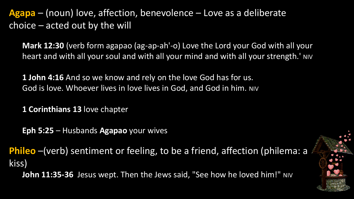**Agapa** – (noun) love, affection, benevolence – Love as a deliberate choice – acted out by the will

**Mark 12:30** (verb form agapao (ag-ap-ah'-o) Love the Lord your God with all your heart and with all your soul and with all your mind and with all your strength.' NIV

**1 John 4:16** And so we know and rely on the love God has for us. God is love. Whoever lives in love lives in God, and God in him. NIV

**1 Corinthians 13** love chapter

**Eph 5:25** – Husbands **Agapao** your wives

**Phileo** –(verb) sentiment or feeling, to be a friend, affection (philema: a kiss)

**John 11:35-36** Jesus wept. Then the Jews said, "See how he loved him!" NIV

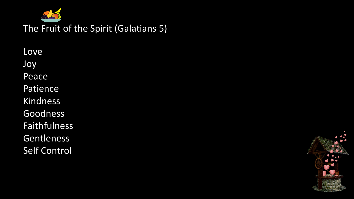

#### The Fruit of the Spirit (Galatians 5)

Love **Joy Peace** Patience Kindness Goodness Faithfulness **Gentleness** Self Control

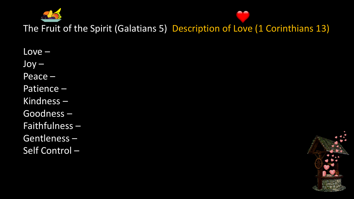

The Fruit of the Spirit (Galatians 5) Description of Love (1 Corinthians 13)

- Love –
- $Joy -$
- Peace –
- Patience –
- Kindness –
- Goodness –
- Faithfulness –
- Gentleness –
- Self Control –

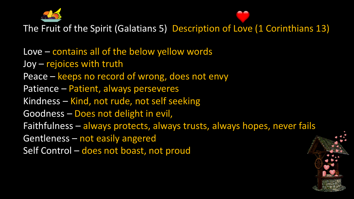

The Fruit of the Spirit (Galatians 5) Description of Love (1 Corinthians 13)

Love – contains all of the below yellow words

Joy – rejoices with truth

Peace – keeps no record of wrong, does not envy

Patience – Patient, always perseveres

Kindness – Kind, not rude, not self seeking

Goodness – Does not delight in evil,

Faithfulness – always protects, always trusts, always hopes, never fails

Gentleness – not easily angered

Self Control – does not boast, not proud

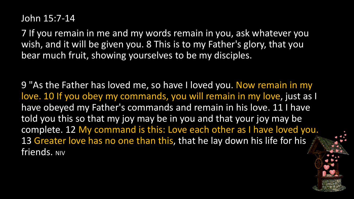John 15:7-14

7 If you remain in me and my words remain in you, ask whatever you wish, and it will be given you. 8 This is to my Father's glory, that you bear much fruit, showing yourselves to be my disciples.

9 "As the Father has loved me, so have I loved you. Now remain in my love. 10 If you obey my commands, you will remain in my love, just as I have obeyed my Father's commands and remain in his love. 11 I have told you this so that my joy may be in you and that your joy may be complete. 12 My command is this: Love each other as I have loved you. 13 Greater love has no one than this, that he lay down his life for his friends. NIV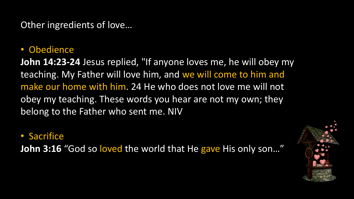Other ingredients of love…

• Obedience

**John 14:23-24** Jesus replied, "If anyone loves me, he will obey my teaching. My Father will love him, and we will come to him and make our home with him. 24 He who does not love me will not obey my teaching. These words you hear are not my own; they belong to the Father who sent me. NIV

#### • Sacrifice

**John 3:16** "God so loved the world that He gave His only son…"